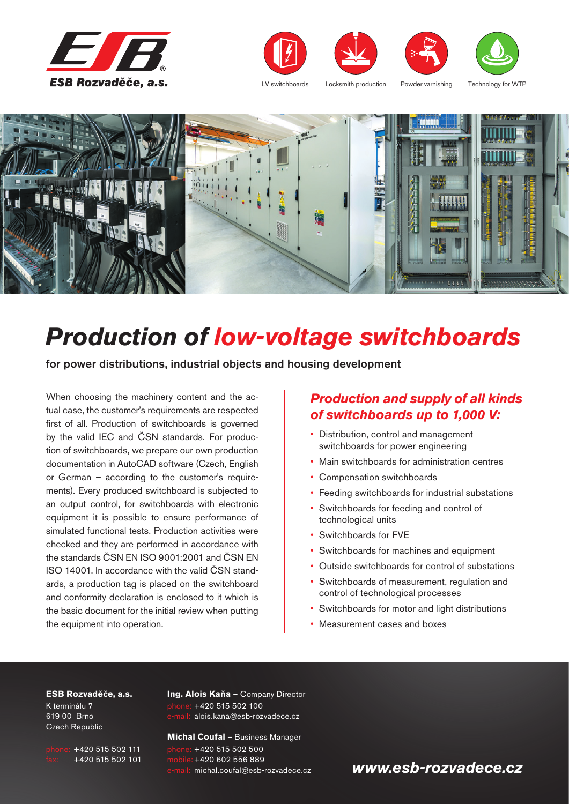





# *Production of low-voltage switchboards*

**for power distributions, industrial objects and housing development**

When choosing the machinery content and the actual case, the customer's requirements are respected first of all. Production of switchboards is governed by the valid IEC and ČSN standards. For production of switchboards, we prepare our own production documentation in AutoCAD software (Czech, English or German – according to the customer's requirements). Every produced switchboard is subjected to an output control, for switchboards with electronic equipment it is possible to ensure performance of simulated functional tests. Production activities were checked and they are performed in accordance with the standards ČSN EN ISO 9001:2001 and ČSN EN ISO 14001. In accordance with the valid ČSN standards, a production tag is placed on the switchboard and conformity declaration is enclosed to it which is the basic document for the initial review when putting the equipment into operation.

#### *Production and supply of all kinds of switchboards up to 1,000 V:*

- Distribution, control and management switchboards for power engineering
- Main switchboards for administration centres
- Compensation switchboards
- Feeding switchboards for industrial substations
- Switchboards for feeding and control of technological units
- Switchboards for FVE
- Switchboards for machines and equipment
- Outside switchboards for control of substations
- Switchboards of measurement, regulation and control of technological processes
- Switchboards for motor and light distributions
- Measurement cases and boxes

#### **ESB Rozvaděče, a.s.**

K terminálu 7 619 00 Brno Czech Republic

 $+420$  515 502 111 fax: +420 515 502 101 **Ing. Alois Kaňa** – Company Director +420 515 502 100 alois.kana@esb-rozvadece.cz

**Michal Coufal** – Business Manager  $+420$  515 502 500 +420 602 556 889 michal.coufal@esb-rozvadece.cz

#### *www.esb-rozvadece.cz*